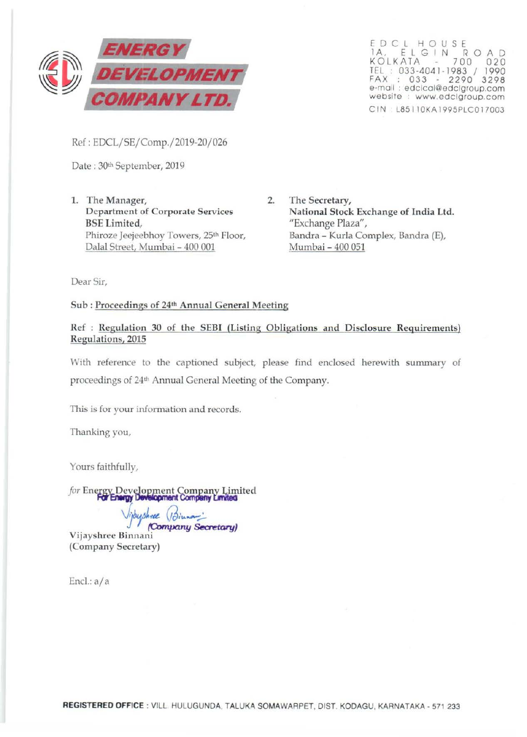

EDCL HOUSE 1A, ELGIN ROAD KOLKATA 700 020 TEL : 033-4041-1983 / 1990 FAX : 033 - 2290 3298 e-mail : edclcal@edclgroup.com website · www edclgroup.com C IN : L85 | 10KA 1995PLC017003

Ref: EDCL/SE/Comp./2019-20/026

Date: 30th September, 2019

1. The Manager, Department of Corporate Services BSE Limited, Phiroze Jeejeebhoy Towers, 25<sup>th</sup> Floor, Dalal Street, Mumbai - 400 001

2. The Secretary, National Stock Exchange of India Ltd. "Exchange Plaza", Bandra - Kurla Complex, Bandra (E), Mumbai - 400 051

Dear Sir,

Sub : Proceedings of 241h Annual General Meeting

## Ref : Regulation 30 of the SEBI (Listing Obligations and Disclosure Requirements) Regulations, 2015

With reference to the captioned subject, please find enclosed herewith summary of proceedings of 24th Annual General Meeting of the Company.

This is for your information and records.

Thanking you,

Yours faithfully,

for Energy Development Company Limited<br>For Energy Development Company Limited

iybyshree (Joinnan)<br>(Company Secretary) Vijayshree Binnani (Company Secretary)

Encl.: a/a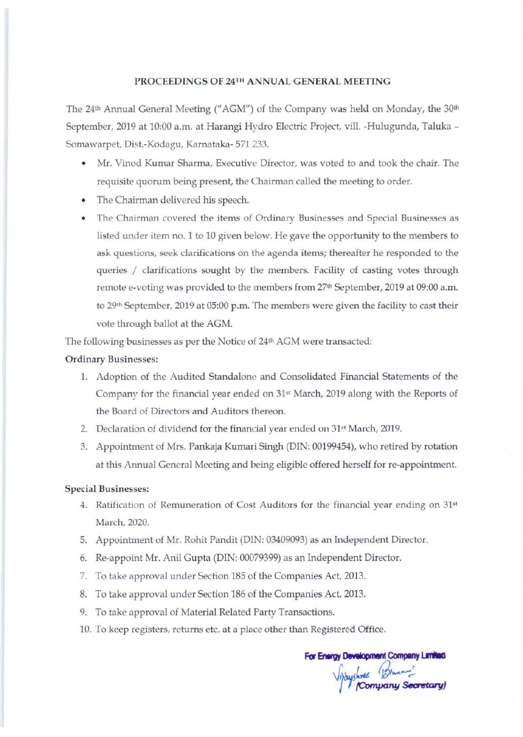## PROCEEDINGS OF 24TH ANNUAL GENERAL MEETING

The 24<sup>th</sup> Annual General Meeting ("AGM") of the Company was held on Monday, the 30<sup>th</sup> September, 2019 at 10:00 a.m. at Harangi Hydro Electric Project, vill. -Hulugunda, Taluka -Somawarpet, Dist.-Kodagu, Karnataka- 571 233.

- Mr. Vinod Kumar Sharma, Executive Director, was voted to and took the chair. The requisite quorum being present, the Chairman called the meeting to order.
- The Chairman delivered his speech.
- The Chairman covered the items of Ordinary Businesses and Special Businesses as listed under item no. 1 to 10 given below. He gave the opportunity to the members to ask questions, seek clarifications on the agenda items; thereafter he responded to the queries / clarifications sought by the members. Facility of casting votes through remote e-voting was provided to the members from 27<sup>th</sup> September, 2019 at 09:00 a.m. to 29<sup>th</sup> September, 2019 at 05:00 p.m. The members were given the facility to cast their vote through ballot at the AGM.

The following businesses as per the Notice of 24<sup>th</sup> AGM were transacted:

## Ordinary Businesses:

- 1. Adoption of the Audited Standalone and Consolidated Financial Statements of the Company for the financial year ended on 31st March, 2019 along with the Reports of the Board of Directors and Auditors thereon.
- 2. Declaration of dividend for the financial year ended on 31<sup>st</sup> March, 2019.
- 3. Appointment of Mrs. Pankaja Kumari Singh (DIN: 00199454), who retired by rotation at this Annual General Meeting and being eligible offered herself for re-appointment.

## Special Businesses:

- 4. Ratification of Remuneration of Cost Auditors for the financial year ending on 31st March, 2020.
- 5. Appointment of Mr. Rohit Pandit (DIN: 03409093) as an Independent Director.
- 6. Re-appoint Mr. Anil Gupta (DIN: 00079399) as an Independent Director.
- 7. To take approval under Section 185 of the Companies Act, 2013.
- 8. To take approval under Section 186 of the Companies Act, 2013.
- 9. To take approval of Material Related Party Transactions.
- 10. To keep registers, returns etc. at a place other than Registered Office.

For Energy Development Company Limited Vijayshree Brunner